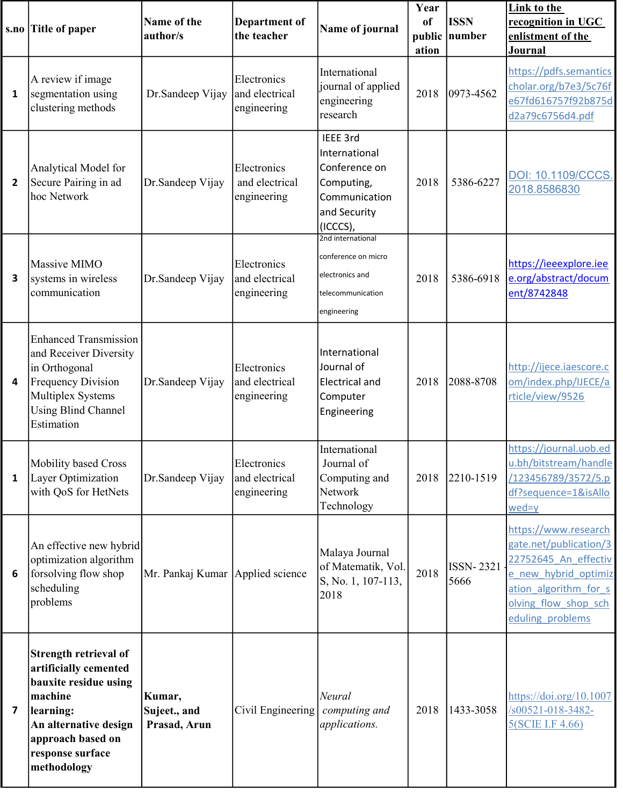| s.no         | <b>Title of paper</b>                                                                                                                                                            | Name of the<br>author/s                | <b>Department of</b><br>the teacher          | Name of journal                                                                                       | Year<br><sub>of</sub><br>ation | <b>ISSN</b><br>public number | <b>Link to the</b><br>recognition in UGC<br>enlistment of the<br>Journal                                                                                            |
|--------------|----------------------------------------------------------------------------------------------------------------------------------------------------------------------------------|----------------------------------------|----------------------------------------------|-------------------------------------------------------------------------------------------------------|--------------------------------|------------------------------|---------------------------------------------------------------------------------------------------------------------------------------------------------------------|
| 1            | A review if image<br>segmentation using<br>clustering methods                                                                                                                    | Dr.Sandeep Vijay                       | Electronics<br>and electrical<br>engineering | International<br>journal of applied<br>engineering<br>research                                        | 2018                           | $ 0973 - 4562 $              | https://pdfs.semantics<br>cholar.org/b7e3/5c76f<br>e67fd616757f92b875d<br>d2a79c6756d4.pdf                                                                          |
| 2            | Analytical Model for<br>Secure Pairing in ad<br>hoc Network                                                                                                                      | Dr.Sandeep Vijay                       | Electronics<br>and electrical<br>engineering | IEEE 3rd<br>International<br>Conference on<br>Computing,<br>Communication<br>and Security<br>(ICCCS), | 2018                           | 5386-6227                    | DOI: 10.1109/CCCS.<br>2018.8586830                                                                                                                                  |
| 3            | Massive MIMO<br>systems in wireless<br>communication                                                                                                                             | Dr.Sandeep Vijay                       | Electronics<br>and electrical<br>engineering | 2nd international<br>conference on micro<br>electronics and<br>telecommunication<br>engineering       | 2018                           | 5386-6918                    | https://ieeexplore.iee<br>e.org/abstract/docum<br>ent/8742848                                                                                                       |
| 4            | <b>Enhanced Transmission</b><br>and Receiver Diversity<br>in Orthogonal<br><b>Frequency Division</b><br>Multiplex Systems<br><b>Using Blind Channel</b><br>Estimation            | Dr.Sandeep Vijay                       | Electronics<br>and electrical<br>engineering | International<br>Journal of<br><b>Electrical and</b><br>Computer<br>Engineering                       | 2018                           | 2088-8708                    | http://ijece.iaescore.c<br>om/index.php/IJECE/a<br>rticle/view/9526                                                                                                 |
| $\mathbf{1}$ | <b>Mobility based Cross</b><br>Layer Optimization<br>with QoS for HetNets                                                                                                        | Dr.Sandeep Vijay                       | Electronics<br>and electrical<br>engineering | International<br>Journal of<br>Computing and<br>Network<br>Technology                                 | 2018                           | 2210-1519                    | https://journal.uob.ed<br>u.bh/bitstream/handle<br>/123456789/3572/5.p<br>df?sequence=1&isAllo<br>wed=y                                                             |
| 6            | An effective new hybrid<br>optimization algorithm<br>forsolving flow shop<br>scheduling<br>problems                                                                              | Mr. Pankaj Kumar Applied science       |                                              | Malaya Journal<br>of Matematik, Vol.<br>S, No. 1, 107-113,<br>2018                                    | 2018                           | <b>ISSN-2321</b><br>5666     | https://www.research<br>gate.net/publication/3<br>22752645 An effectiv<br>e new hybrid optimiz<br>ation algorithm for s<br>olving flow shop sch<br>eduling problems |
| 7            | Strength retrieval of<br>artificially cemented<br>bauxite residue using<br>machine<br>learning:<br>An alternative design<br>approach based on<br>response surface<br>methodology | Kumar,<br>Sujeet., and<br>Prasad, Arun | Civil Engineering                            | Neural<br>computing and<br>applications.                                                              | 2018                           | 1433-3058                    | https://doi.org/10.1007<br>/s00521-018-3482-<br>5(SCIE I.F 4.66)                                                                                                    |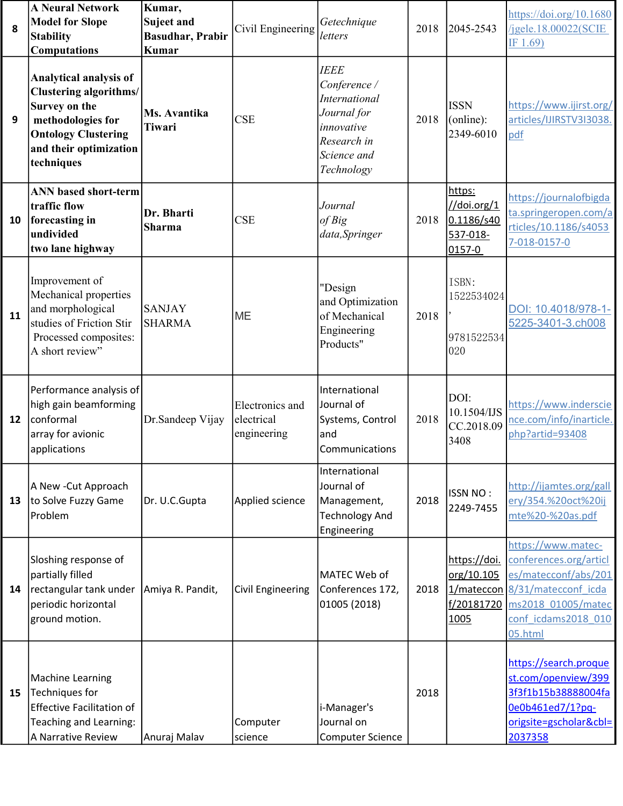| 8  | <b>A Neural Network</b><br><b>Model for Slope</b><br><b>Stability</b><br><b>Computations</b>                                                                        | Kumar,<br><b>Suject and</b><br><b>Basudhar, Prabir</b><br><b>Kumar</b> | Civil Engineering                            | Getechnique<br>letters                                                                                                       | 2018 | 2045-2543                                                 | https://doi.org/10.1680<br>/jgele.18.00022(SCIE<br>IF $1.69$ )                                                                                                 |
|----|---------------------------------------------------------------------------------------------------------------------------------------------------------------------|------------------------------------------------------------------------|----------------------------------------------|------------------------------------------------------------------------------------------------------------------------------|------|-----------------------------------------------------------|----------------------------------------------------------------------------------------------------------------------------------------------------------------|
| 9  | Analytical analysis of<br><b>Clustering algorithms/</b><br>Survey on the<br>methodologies for<br><b>Ontology Clustering</b><br>and their optimization<br>techniques | Ms. Avantika<br>Tiwari                                                 | <b>CSE</b>                                   | <b>IEEE</b><br>Conference /<br><b>International</b><br>Journal for<br>innovative<br>Research in<br>Science and<br>Technology | 2018 | <b>ISSN</b><br>(online):<br>2349-6010                     | https://www.ijirst.org/<br>articles/IJIRSTV3I3038.<br>pdf                                                                                                      |
| 10 | <b>ANN</b> based short-term<br>traffic flow<br>forecasting in<br>undivided<br>two lane highway                                                                      | Dr. Bharti<br><b>Sharma</b>                                            | <b>CSE</b>                                   | Journal<br>of Big<br>data, Springer                                                                                          | 2018 | https:<br>//doi.org/1<br>0.1186/s40<br>537-018-<br>0157-0 | https://journalofbigda<br>ta.springeropen.com/a<br>rticles/10.1186/s4053<br>7-018-0157-0                                                                       |
| 11 | Improvement of<br>Mechanical properties<br>and morphological<br>studies of Friction Stir<br>Processed composites:<br>A short review"                                | <b>SANJAY</b><br><b>SHARMA</b>                                         | <b>ME</b>                                    | "Design<br>and Optimization<br>of Mechanical<br>Engineering<br>Products"                                                     | 2018 | ISBN:<br>1522534024<br>9781522534<br>020                  | DOI: 10.4018/978-1-<br>5225-3401-3.ch008                                                                                                                       |
| 12 | Performance analysis of<br>high gain beamforming<br>conformal<br>array for avionic<br>applications                                                                  | Dr.Sandeep Vijay                                                       | Electronics and<br>electrical<br>engineering | International<br>Journal of<br>Systems, Control<br>and<br>Communications                                                     | 2018 | DOI:<br>10.1504/IJS<br>CC.2018.09<br>3408                 | https://www.inderscie<br>nce.com/info/inarticle.<br>php?artid=93408                                                                                            |
| 13 | A New - Cut Approach<br>to Solve Fuzzy Game<br>Problem                                                                                                              | Dr. U.C.Gupta                                                          | Applied science                              | International<br>Journal of<br>Management,<br><b>Technology And</b><br>Engineering                                           | 2018 | <b>ISSN NO:</b><br>2249-7455                              | http://ijamtes.org/gall<br>ery/354.%20oct%20ij<br>mte%20-%20as.pdf                                                                                             |
| 14 | Sloshing response of<br>partially filled<br>rectangular tank under<br>periodic horizontal<br>ground motion.                                                         | Amiya R. Pandit,                                                       | Civil Engineering                            | MATEC Web of<br>Conferences 172,<br>01005 (2018)                                                                             | 2018 | https://doi.<br>org/10.105<br>f/20181720<br>1005          | https://www.matec-<br>conferences.org/articl<br>es/matecconf/abs/201<br>1/mateccon 8/31/matecconf icda<br>ms2018 01005/matec<br>conf icdams2018_010<br>05.html |
| 15 | <b>Machine Learning</b><br>Techniques for<br><b>Effective Facilitation of</b><br>Teaching and Learning:<br>A Narrative Review                                       | Anuraj Malav                                                           | Computer<br>science                          | i-Manager's<br>Journal on<br><b>Computer Science</b>                                                                         | 2018 |                                                           | https://search.proque<br>st.com/openview/399<br>3f3f1b15b38888004fa<br>0e0b461ed7/1?pq-<br>origsite=gscholar&cbl=<br>2037358                                   |